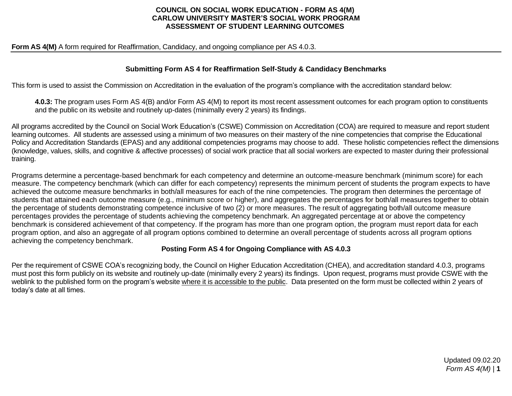#### **COUNCIL ON SOCIAL WORK EDUCATION - FORM AS 4(M) CARLOW UNIVERSITY MASTER'S SOCIAL WORK PROGRAM ASSESSMENT OF STUDENT LEARNING OUTCOMES**

#### **Form AS 4(M)** A form required for Reaffirmation, Candidacy, and ongoing compliance per AS 4.0.3.

#### **Submitting Form AS 4 for Reaffirmation Self-Study & Candidacy Benchmarks**

This form is used to assist the Commission on Accreditation in the evaluation of the program's compliance with the accreditation standard below:

**4.0.3:** The program uses Form AS 4(B) and/or Form AS 4(M) to report its most recent assessment outcomes for each program option to constituents and the public on its website and routinely up-dates (minimally every 2 years) its findings.

All programs accredited by the Council on Social Work Education's (CSWE) Commission on Accreditation (COA) are required to measure and report student learning outcomes. All students are assessed using a minimum of two measures on their mastery of the nine competencies that comprise the Educational Policy and Accreditation Standards (EPAS) and any additional competencies programs may choose to add. These holistic competencies reflect the dimensions (knowledge, values, skills, and cognitive & affective processes) of social work practice that all social workers are expected to master during their professional training.

Programs determine a percentage-based benchmark for each competency and determine an outcome-measure benchmark (minimum score) for each measure. The competency benchmark (which can differ for each competency) represents the minimum percent of students the program expects to have achieved the outcome measure benchmarks in both/all measures for each of the nine competencies. The program then determines the percentage of students that attained each outcome measure (e.g., minimum score or higher), and aggregates the percentages for both/all measures together to obtain the percentage of students demonstrating competence inclusive of two (2) or more measures. The result of aggregating both/all outcome measure percentages provides the percentage of students achieving the competency benchmark. An aggregated percentage at or above the competency benchmark is considered achievement of that competency. If the program has more than one program option, the program must report data for each program option, and also an aggregate of all program options combined to determine an overall percentage of students across all program options achieving the competency benchmark.

#### **Posting Form AS 4 for Ongoing Compliance with AS 4.0.3**

Per the requirement of CSWE COA's recognizing body, the Council on Higher Education Accreditation (CHEA), and accreditation standard 4.0.3, programs must post this form publicly on its website and routinely up-date (minimally every 2 years) its findings. Upon request, programs must provide CSWE with the weblink to the published form on the program's website where it is accessible to the public. Data presented on the form must be collected within 2 years of today's date at all times.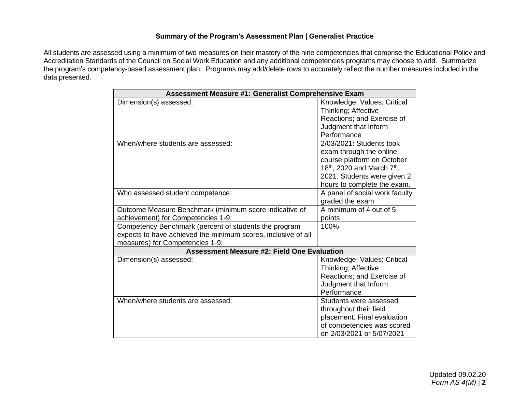## **Summary of the Program's Assessment Plan | Generalist Practice**

All students are assessed using a minimum of two measures on their mastery of the nine competencies that comprise the Educational Policy and Accreditation Standards of the Council on Social Work Education and any additional competencies programs may choose to add. Summarize the program's competency-based assessment plan. Programs may add/delete rows to accurately reflect the number measures included in the data presented.

| <b>Assessment Measure #1: Generalist Comprehensive Exam</b>   |                                           |  |  |  |  |
|---------------------------------------------------------------|-------------------------------------------|--|--|--|--|
| Dimension(s) assessed:                                        | Knowledge; Values; Critical               |  |  |  |  |
|                                                               | Thinking; Affective                       |  |  |  |  |
|                                                               | Reactions; and Exercise of                |  |  |  |  |
|                                                               | Judgment that Inform                      |  |  |  |  |
|                                                               | Performance                               |  |  |  |  |
| When/where students are assessed:                             | 2/03/2021: Students took                  |  |  |  |  |
|                                                               | exam through the online                   |  |  |  |  |
|                                                               | course platform on October                |  |  |  |  |
|                                                               | 18 <sup>th</sup> , 2020 and March $7th$ , |  |  |  |  |
|                                                               | 2021. Students were given 2               |  |  |  |  |
|                                                               | hours to complete the exam.               |  |  |  |  |
| Who assessed student competence:                              | A panel of social work faculty            |  |  |  |  |
|                                                               | graded the exam                           |  |  |  |  |
| Outcome Measure Benchmark (minimum score indicative of        | A minimum of 4 out of 5                   |  |  |  |  |
| achievement) for Competencies 1-9:                            | points                                    |  |  |  |  |
| Competency Benchmark (percent of students the program         | 100%                                      |  |  |  |  |
| expects to have achieved the minimum scores, inclusive of all |                                           |  |  |  |  |
| measures) for Competencies 1-9:                               |                                           |  |  |  |  |
| <b>Assessment Measure #2: Field One Evaluation</b>            |                                           |  |  |  |  |
| Dimension(s) assessed:                                        | Knowledge; Values; Critical               |  |  |  |  |
|                                                               | Thinking; Affective                       |  |  |  |  |
|                                                               | Reactions; and Exercise of                |  |  |  |  |
|                                                               | Judgment that Inform                      |  |  |  |  |
|                                                               | Performance                               |  |  |  |  |
| When/where students are assessed:                             | Students were assessed                    |  |  |  |  |
|                                                               | throughout their field                    |  |  |  |  |
|                                                               | placement. Final evaluation               |  |  |  |  |
|                                                               | of competencies was scored                |  |  |  |  |
|                                                               | on 2/03/2021 or 5/07/2021                 |  |  |  |  |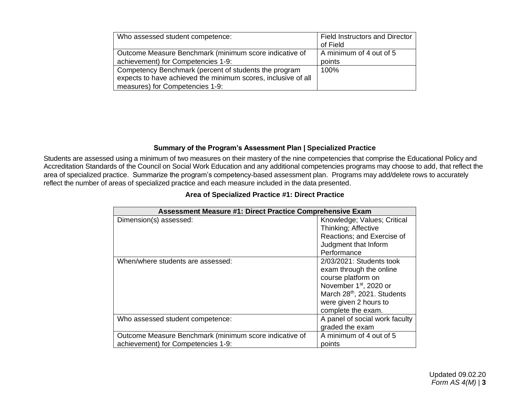| Who assessed student competence:                              | <b>Field Instructors and Director</b> |
|---------------------------------------------------------------|---------------------------------------|
|                                                               | of Field                              |
| Outcome Measure Benchmark (minimum score indicative of        | A minimum of 4 out of 5               |
| achievement) for Competencies 1-9:                            | points                                |
| Competency Benchmark (percent of students the program         | 100%                                  |
| expects to have achieved the minimum scores, inclusive of all |                                       |
| measures) for Competencies 1-9:                               |                                       |

# **Summary of the Program's Assessment Plan | Specialized Practice**

Students are assessed using a minimum of two measures on their mastery of the nine competencies that comprise the Educational Policy and Accreditation Standards of the Council on Social Work Education and any additional competencies programs may choose to add, that reflect the area of specialized practice. Summarize the program's competency-based assessment plan. Programs may add/delete rows to accurately reflect the number of areas of specialized practice and each measure included in the data presented.

| <b>Assessment Measure #1: Direct Practice Comprehensive Exam</b> |                                    |
|------------------------------------------------------------------|------------------------------------|
| Dimension(s) assessed:                                           | Knowledge; Values; Critical        |
|                                                                  | Thinking; Affective                |
|                                                                  | Reactions; and Exercise of         |
|                                                                  | Judgment that Inform               |
|                                                                  | Performance                        |
| When/where students are assessed:                                | 2/03/2021: Students took           |
|                                                                  | exam through the online            |
|                                                                  | course platform on                 |
|                                                                  | November 1 <sup>st</sup> , 2020 or |
|                                                                  | March 28th, 2021. Students         |
|                                                                  | were given 2 hours to              |
|                                                                  | complete the exam.                 |
| Who assessed student competence:                                 | A panel of social work faculty     |
|                                                                  | graded the exam                    |
| Outcome Measure Benchmark (minimum score indicative of           | A minimum of 4 out of 5            |
| achievement) for Competencies 1-9:                               | points                             |

#### **Area of Specialized Practice #1: Direct Practice**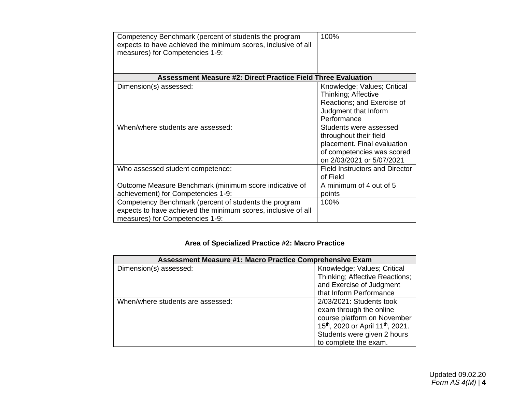| Competency Benchmark (percent of students the program<br>expects to have achieved the minimum scores, inclusive of all<br>measures) for Competencies 1-9: | 100%                                                                                                                                       |
|-----------------------------------------------------------------------------------------------------------------------------------------------------------|--------------------------------------------------------------------------------------------------------------------------------------------|
| <b>Assessment Measure #2: Direct Practice Field Three Evaluation</b>                                                                                      |                                                                                                                                            |
| Dimension(s) assessed:                                                                                                                                    | Knowledge; Values; Critical<br>Thinking; Affective<br>Reactions; and Exercise of<br>Judgment that Inform<br>Performance                    |
| When/where students are assessed:                                                                                                                         | Students were assessed<br>throughout their field<br>placement. Final evaluation<br>of competencies was scored<br>on 2/03/2021 or 5/07/2021 |
| Who assessed student competence:                                                                                                                          | <b>Field Instructors and Director</b><br>of Field                                                                                          |
| Outcome Measure Benchmark (minimum score indicative of<br>achievement) for Competencies 1-9:                                                              | A minimum of 4 out of 5<br>points                                                                                                          |
| Competency Benchmark (percent of students the program<br>expects to have achieved the minimum scores, inclusive of all<br>measures) for Competencies 1-9: | 100%                                                                                                                                       |

# **Area of Specialized Practice #2: Macro Practice**

| <b>Assessment Measure #1: Macro Practice Comprehensive Exam</b> |                                                           |  |  |  |
|-----------------------------------------------------------------|-----------------------------------------------------------|--|--|--|
| Dimension(s) assessed:                                          | Knowledge; Values; Critical                               |  |  |  |
|                                                                 | Thinking; Affective Reactions;                            |  |  |  |
|                                                                 | and Exercise of Judgment                                  |  |  |  |
|                                                                 | that Inform Performance                                   |  |  |  |
| When/where students are assessed:                               | 2/03/2021: Students took                                  |  |  |  |
|                                                                 | exam through the online                                   |  |  |  |
|                                                                 | course platform on November                               |  |  |  |
|                                                                 | 15 <sup>th</sup> , 2020 or April 11 <sup>th</sup> , 2021. |  |  |  |
|                                                                 | Students were given 2 hours                               |  |  |  |
|                                                                 | to complete the exam.                                     |  |  |  |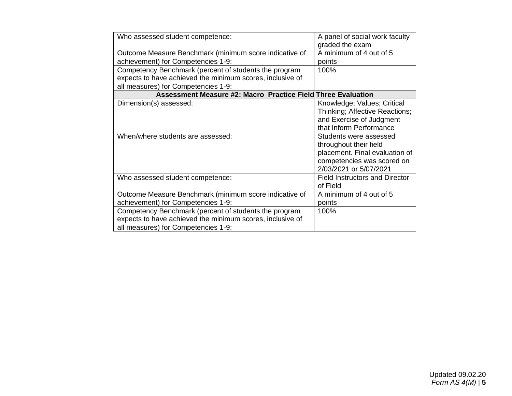| Who assessed student competence:                                    | A panel of social work faculty        |
|---------------------------------------------------------------------|---------------------------------------|
|                                                                     | graded the exam                       |
| Outcome Measure Benchmark (minimum score indicative of              | A minimum of 4 out of 5               |
| achievement) for Competencies 1-9:                                  | points                                |
| Competency Benchmark (percent of students the program               | 100%                                  |
| expects to have achieved the minimum scores, inclusive of           |                                       |
| all measures) for Competencies 1-9:                                 |                                       |
| <b>Assessment Measure #2: Macro Practice Field Three Evaluation</b> |                                       |
| Dimension(s) assessed:                                              | Knowledge; Values; Critical           |
|                                                                     | Thinking; Affective Reactions;        |
|                                                                     | and Exercise of Judgment              |
|                                                                     | that Inform Performance               |
| When/where students are assessed:                                   | Students were assessed                |
|                                                                     | throughout their field                |
|                                                                     | placement. Final evaluation of        |
|                                                                     | competencies was scored on            |
|                                                                     | 2/03/2021 or 5/07/2021                |
| Who assessed student competence:                                    | <b>Field Instructors and Director</b> |
|                                                                     | of Field                              |
| Outcome Measure Benchmark (minimum score indicative of              | A minimum of 4 out of 5               |
| achievement) for Competencies 1-9:                                  | points                                |
| Competency Benchmark (percent of students the program               | 100%                                  |
| expects to have achieved the minimum scores, inclusive of           |                                       |
| all measures) for Competencies 1-9:                                 |                                       |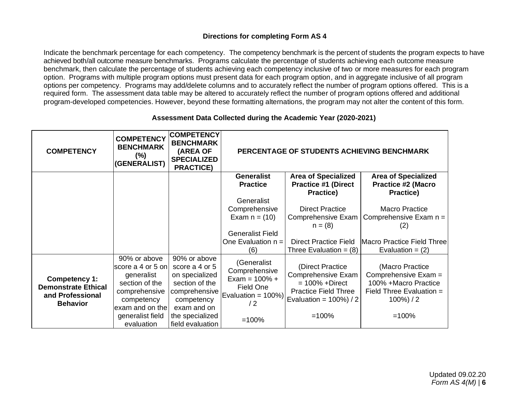## **Directions for completing Form AS 4**

Indicate the benchmark percentage for each competency. The competency benchmark is the percent of students the program expects to have achieved both/all outcome measure benchmarks. Programs calculate the percentage of students achieving each outcome measure benchmark, then calculate the percentage of students achieving each competency inclusive of two or more measures for each program option. Programs with multiple program options must present data for each program option, and in aggregate inclusive of all program options per competency. Programs may add/delete columns and to accurately reflect the number of program options offered. This is a required form. The assessment data table may be altered to accurately reflect the number of program options offered and additional program-developed competencies. However, beyond these formatting alternations, the program may not alter the content of this form.

#### **Assessment Data Collected during the Academic Year (2020-2021)**

| <b>COMPETENCY</b>                                                                  | <b>COMPETENCY</b><br><b>BENCHMARK</b><br>$(\%)$<br>(GENERALIST)                                                                                       | <b>COMPETENCY</b><br><b>BENCHMARK</b><br>(AREA OF<br><b>SPECIALIZED</b><br><b>PRACTICE)</b>                                                             | PERCENTAGE OF STUDENTS ACHIEVING BENCHMARK                                                               |                                                                                                                                      |                                                                                                                          |
|------------------------------------------------------------------------------------|-------------------------------------------------------------------------------------------------------------------------------------------------------|---------------------------------------------------------------------------------------------------------------------------------------------------------|----------------------------------------------------------------------------------------------------------|--------------------------------------------------------------------------------------------------------------------------------------|--------------------------------------------------------------------------------------------------------------------------|
|                                                                                    |                                                                                                                                                       |                                                                                                                                                         | <b>Generalist</b><br><b>Practice</b>                                                                     | <b>Area of Specialized</b><br><b>Practice #1 (Direct</b><br><b>Practice)</b>                                                         | <b>Area of Specialized</b><br><b>Practice #2 (Macro</b><br>Practice)                                                     |
|                                                                                    |                                                                                                                                                       |                                                                                                                                                         | Generalist<br>Comprehensive<br>Exam $n = (10)$<br><b>Generalist Field</b><br>One Evaluation $n =$<br>(6) | <b>Direct Practice</b><br>Comprehensive Exam<br>$n = (8)$<br><b>Direct Practice Field</b><br>Three Evaluation = $(8)$                | Macro Practice<br>Comprehensive Exam $n =$<br>(2)<br>Macro Practice Field Three<br>Evaluation = $(2)$                    |
| Competency 1:<br><b>Demonstrate Ethical</b><br>and Professional<br><b>Behavior</b> | 90% or above<br>score a 4 or 5 on<br>generalist<br>section of the<br>comprehensive<br>competency<br>exam and on the<br>generalist field<br>evaluation | 90% or above<br>score a 4 or 5<br>on specialized<br>section of the<br>comprehensive<br>competency<br>exam and on<br>the specialized<br>field evaluation | (Generalist<br>Comprehensive<br>Exam = $100\% +$<br>Field One<br>Evaluation = 100%)<br>/2<br>$=100%$     | (Direct Practice<br>Comprehensive Exam<br>$= 100\% + Direct$<br><b>Practice Field Three</b><br>Evaluation = $100\%$ ) / 2<br>$=100%$ | (Macro Practice<br>Comprehensive Exam =<br>100% + Macro Practice<br>Field Three Evaluation =<br>$100\%$ ) / 2<br>$=100%$ |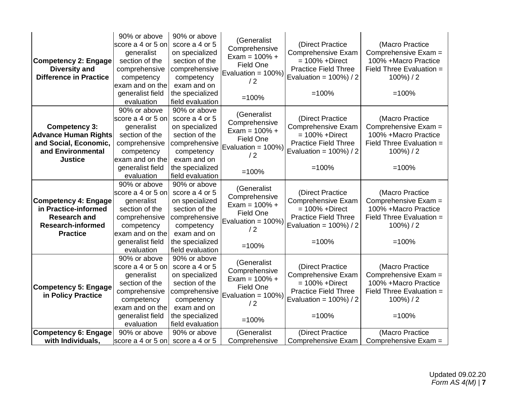| <b>Competency 2: Engage</b><br><b>Diversity and</b><br><b>Difference in Practice</b>                                      | 90% or above<br>score a 4 or 5 on<br>generalist<br>section of the<br>comprehensive<br>competency<br>exam and on the<br>generalist field<br>evaluation | 90% or above<br>score a 4 or 5<br>on specialized<br>section of the<br>comprehensive<br>competency<br>exam and on<br>the specialized<br>field evaluation | (Generalist<br>Comprehensive<br>Exam = $100% +$<br>Field One<br>Evaluation = 100%)<br>/2<br>$=100%$     | (Direct Practice<br>Comprehensive Exam<br>$= 100\% + Direct$<br><b>Practice Field Three</b><br>Evaluation = $100\%$ ) / 2<br>$=100%$        | (Macro Practice<br>Comprehensive Exam =<br>100% +Macro Practice<br>Field Three Evaluation =<br>$100\%) / 2$<br>$=100%$    |
|---------------------------------------------------------------------------------------------------------------------------|-------------------------------------------------------------------------------------------------------------------------------------------------------|---------------------------------------------------------------------------------------------------------------------------------------------------------|---------------------------------------------------------------------------------------------------------|---------------------------------------------------------------------------------------------------------------------------------------------|---------------------------------------------------------------------------------------------------------------------------|
| <b>Competency 3:</b><br><b>Advance Human Rights</b><br>and Social, Economic,<br>and Environmental<br><b>Justice</b>       | 90% or above<br>score a 4 or 5 on<br>generalist<br>section of the<br>comprehensive<br>competency<br>exam and on the<br>generalist field<br>evaluation | 90% or above<br>score a 4 or 5<br>on specialized<br>section of the<br>comprehensive<br>competency<br>exam and on<br>the specialized<br>field evaluation | (Generalist<br>Comprehensive<br>Exam = $100% +$<br>Field One<br>Evaluation = 100%)<br>/2<br>$=100%$     | (Direct Practice<br><b>Comprehensive Exam</b><br>$= 100\% + Direct$<br><b>Practice Field Three</b><br>Evaluation = $100\%$ ) / 2<br>$=100%$ | (Macro Practice<br>Comprehensive Exam =<br>100% + Macro Practice<br>Field Three Evaluation =<br>$100\%) / 2$<br>$=100%$   |
| <b>Competency 4: Engage</b><br>in Practice-informed<br><b>Research and</b><br><b>Research-informed</b><br><b>Practice</b> | 90% or above<br>score a 4 or 5 on<br>generalist<br>section of the<br>comprehensive<br>competency<br>exam and on the<br>generalist field<br>evaluation | 90% or above<br>score a 4 or 5<br>on specialized<br>section of the<br>comprehensive<br>competency<br>exam and on<br>the specialized<br>field evaluation | (Generalist<br>Comprehensive<br>Exam = $100% +$<br>Field One<br>Evaluation = 100%)<br>/2<br>$=100%$     | (Direct Practice<br>Comprehensive Exam<br>$= 100\% + Direct$<br><b>Practice Field Three</b><br>Evaluation = $100\%$ ) / 2<br>$=100%$        | (Macro Practice<br>Comprehensive Exam =<br>100% +Macro Practice<br>Field Three Evaluation $=$<br>$100\%$ ) / 2<br>$=100%$ |
| <b>Competency 5: Engage</b><br>in Policy Practice                                                                         | 90% or above<br>score a 4 or 5 on<br>generalist<br>section of the<br>comprehensive<br>competency<br>exam and on the<br>generalist field<br>evaluation | 90% or above<br>score a 4 or 5<br>on specialized<br>section of the<br>comprehensive<br>competency<br>exam and on<br>the specialized<br>field evaluation | (Generalist<br>Comprehensive<br>Exam = $100% +$<br>Field One<br>Evaluation = $100\%$ )<br>/2<br>$=100%$ | (Direct Practice<br>Comprehensive Exam<br>$= 100\% + Direct$<br><b>Practice Field Three</b><br>Evaluation = $100\%$ ) / 2<br>$=100%$        | (Macro Practice<br>Comprehensive Exam =<br>100% + Macro Practice<br>Field Three Evaluation =<br>$100\%$ ) / 2<br>$=100%$  |
| <b>Competency 6: Engage</b><br>with Individuals,                                                                          | 90% or above<br>score a 4 or 5 on                                                                                                                     | 90% or above<br>score a 4 or 5                                                                                                                          | (Generalist<br>Comprehensive                                                                            | (Direct Practice<br>Comprehensive Exam                                                                                                      | (Macro Practice<br>Comprehensive Exam =                                                                                   |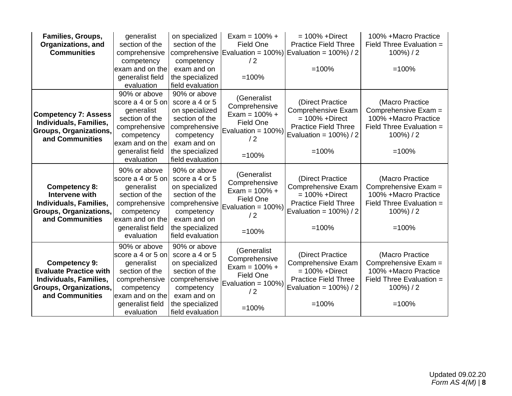| Families, Groups,             | generalist        | on specialized   | Exam = $100\% +$                  | $= 100\% + Direct$                                              | 100% + Macro Practice      |
|-------------------------------|-------------------|------------------|-----------------------------------|-----------------------------------------------------------------|----------------------------|
| <b>Organizations, and</b>     | section of the    | section of the   | <b>Field One</b>                  | <b>Practice Field Three</b>                                     | Field Three Evaluation =   |
| <b>Communities</b>            | comprehensive     |                  |                                   | comprehensive Evaluation = $100\%$ ) Evaluation = $100\%$ ) / 2 | $100\%$ ) / 2              |
|                               | competency        | competency       | /2                                |                                                                 |                            |
|                               | exam and on the   | exam and on      |                                   | $=100%$                                                         | $=100%$                    |
|                               | generalist field  | the specialized  | $=100%$                           |                                                                 |                            |
|                               | evaluation        | field evaluation |                                   |                                                                 |                            |
|                               | 90% or above      | 90% or above     | (Generalist                       |                                                                 |                            |
|                               | score a 4 or 5 on | score a 4 or 5   | Comprehensive                     | (Direct Practice                                                | (Macro Practice            |
| <b>Competency 7: Assess</b>   | generalist        | on specialized   | Exam = $100\% +$                  | <b>Comprehensive Exam</b>                                       | Comprehensive Exam =       |
| Individuals, Families,        | section of the    | section of the   | Field One                         | $= 100\% + Direct$                                              | 100% + Macro Practice      |
| <b>Groups, Organizations,</b> | comprehensive     | comprehensive    | Evaluation = $100\%$ )            | <b>Practice Field Three</b>                                     | Field Three Evaluation =   |
| and Communities               | competency        | competency       | /2                                | Evaluation = $100\%$ ) / 2                                      | $100\%$ ) / 2              |
|                               | exam and on the   | exam and on      |                                   |                                                                 |                            |
|                               | generalist field  | the specialized  | $=100%$                           | $=100%$                                                         | $=100%$                    |
|                               | evaluation        | field evaluation |                                   |                                                                 |                            |
|                               | 90% or above      | 90% or above     |                                   |                                                                 |                            |
|                               | score a 4 or 5 on | score a 4 or 5   | (Generalist                       | (Direct Practice                                                | (Macro Practice            |
| <b>Competency 8:</b>          | generalist        | on specialized   | Comprehensive<br>Exam = $100\% +$ | <b>Comprehensive Exam</b>                                       | Comprehensive Exam =       |
| Intervene with                | section of the    | section of the   | Field One                         | $= 100\% + Direct$                                              | 100% + Macro Practice      |
| Individuals, Families,        | comprehensive     | comprehensive    | Evaluation = 100%)                | <b>Practice Field Three</b>                                     | Field Three Evaluation =   |
| Groups, Organizations,        | competency        | competency       | /2                                | Evaluation = $100\%$ ) / 2                                      | $100\%$ ) / 2              |
| and Communities               | exam and on the   | exam and on      |                                   |                                                                 |                            |
|                               | generalist field  | the specialized  | $=100%$                           | $=100%$                                                         | $=100%$                    |
|                               | evaluation        | field evaluation |                                   |                                                                 |                            |
|                               | 90% or above      | 90% or above     |                                   |                                                                 |                            |
|                               | score a 4 or 5 on | score a 4 or 5   | (Generalist                       | (Direct Practice                                                | (Macro Practice            |
| <b>Competency 9:</b>          | generalist        | on specialized   | Comprehensive<br>Exam = $100\% +$ | <b>Comprehensive Exam</b>                                       | Comprehensive Exam =       |
| <b>Evaluate Practice with</b> | section of the    | section of the   | <b>Field One</b>                  | $= 100\% + Direct$                                              | 100% + Macro Practice      |
| Individuals, Families,        | comprehensive     | comprehensive    |                                   | <b>Practice Field Three</b>                                     | Field Three Evaluation $=$ |
| Groups, Organizations,        | competency        | competency       | Evaluation = 100%)<br>/2          | Evaluation = $100\%$ ) / 2                                      | $100\%$ ) / 2              |
| and Communities               | exam and on the   | exam and on      |                                   |                                                                 |                            |
|                               | generalist field  | the specialized  | $=100%$                           | $=100%$                                                         | $=100%$                    |
|                               | evaluation        | field evaluation |                                   |                                                                 |                            |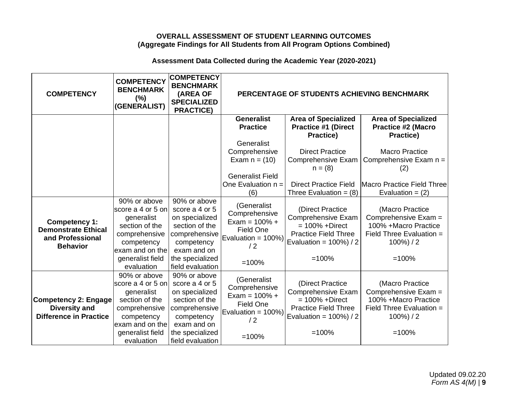## **OVERALL ASSESSMENT OF STUDENT LEARNING OUTCOMES (Aggregate Findings for All Students from All Program Options Combined)**

## **Assessment Data Collected during the Academic Year (2020-2021)**

| <b>COMPETENCY</b>                                                                         | <b>COMPETENCY</b><br><b>BENCHMARK</b><br>(%)<br>(GENERALIST)                                                        | <b>COMPETENCY</b><br><b>BENCHMARK</b><br>(AREA OF<br><b>SPECIALIZED</b><br><b>PRACTICE)</b>                      | PERCENTAGE OF STUDENTS ACHIEVING BENCHMARK                                                |                                                                                                                                  |                                                                                                               |
|-------------------------------------------------------------------------------------------|---------------------------------------------------------------------------------------------------------------------|------------------------------------------------------------------------------------------------------------------|-------------------------------------------------------------------------------------------|----------------------------------------------------------------------------------------------------------------------------------|---------------------------------------------------------------------------------------------------------------|
|                                                                                           |                                                                                                                     |                                                                                                                  | <b>Generalist</b><br><b>Practice</b>                                                      | <b>Area of Specialized</b><br><b>Practice #1 (Direct</b><br><b>Practice)</b>                                                     | <b>Area of Specialized</b><br><b>Practice #2 (Macro</b><br><b>Practice)</b>                                   |
|                                                                                           |                                                                                                                     |                                                                                                                  | Generalist                                                                                |                                                                                                                                  |                                                                                                               |
|                                                                                           |                                                                                                                     |                                                                                                                  | Comprehensive                                                                             | <b>Direct Practice</b>                                                                                                           | <b>Macro Practice</b>                                                                                         |
|                                                                                           |                                                                                                                     |                                                                                                                  | Exam $n = (10)$                                                                           | Comprehensive Exam                                                                                                               | Comprehensive Exam n =                                                                                        |
|                                                                                           |                                                                                                                     |                                                                                                                  |                                                                                           | $n = (8)$                                                                                                                        | (2)                                                                                                           |
|                                                                                           |                                                                                                                     |                                                                                                                  | <b>Generalist Field</b>                                                                   |                                                                                                                                  |                                                                                                               |
|                                                                                           |                                                                                                                     |                                                                                                                  | One Evaluation $n =$                                                                      | <b>Direct Practice Field</b>                                                                                                     | Macro Practice Field Three                                                                                    |
|                                                                                           | 90% or above                                                                                                        | 90% or above                                                                                                     | (6)                                                                                       | Three Evaluation = $(8)$                                                                                                         | Evaluation = $(2)$                                                                                            |
| <b>Competency 1:</b><br><b>Demonstrate Ethical</b><br>and Professional<br><b>Behavior</b> | score a 4 or 5 on<br>generalist<br>section of the<br>comprehensive<br>competency<br>exam and on the                 | score a 4 or 5<br>on specialized<br>section of the<br>comprehensive<br>competency<br>exam and on                 | (Generalist<br>Comprehensive<br>Exam = $100\% +$<br>Field One<br>Evaluation = 100%)<br>/2 | (Direct Practice<br>Comprehensive Exam<br>$= 100\% + Direct$<br><b>Practice Field Three</b><br>Evaluation = $100\%$ ) / 2        | (Macro Practice<br>Comprehensive Exam =<br>100% + Macro Practice<br>Field Three Evaluation =<br>$100\%$ ) / 2 |
|                                                                                           | generalist field<br>evaluation                                                                                      | the specialized<br>field evaluation                                                                              | $=100%$                                                                                   | $=100%$                                                                                                                          | $=100%$                                                                                                       |
| <b>Competency 2: Engage</b><br><b>Diversity and</b><br><b>Difference in Practice</b>      | 90% or above<br>score a 4 or 5 on<br>generalist<br>section of the<br>comprehensive<br>competency<br>exam and on the | 90% or above<br>score a 4 or 5<br>on specialized<br>section of the<br>comprehensive<br>competency<br>exam and on | (Generalist<br>Comprehensive<br>Exam = $100\% +$<br>Field One<br>Evaluation = 100%)<br>/2 | (Direct Practice<br><b>Comprehensive Exam</b><br>$= 100\% + Direct$<br><b>Practice Field Three</b><br>Evaluation = $100\%$ ) / 2 | (Macro Practice<br>Comprehensive Exam =<br>100% + Macro Practice<br>Field Three Evaluation =<br>$100\%$ ) / 2 |
|                                                                                           | generalist field<br>evaluation                                                                                      | the specialized<br>field evaluation                                                                              | $=100%$                                                                                   | $=100%$                                                                                                                          | $=100%$                                                                                                       |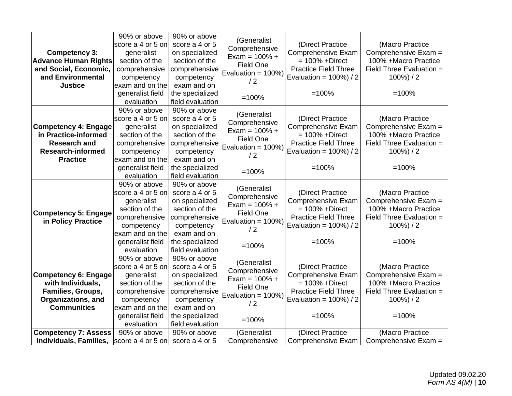| <b>Competency 3:</b><br><b>Advance Human Rights</b><br>and Social, Economic,<br>and Environmental<br><b>Justice</b>       | 90% or above<br>score a 4 or 5 on<br>generalist<br>section of the<br>comprehensive<br>competency<br>exam and on the<br>generalist field<br>evaluation | 90% or above<br>score a 4 or 5<br>on specialized<br>section of the<br>comprehensive<br>competency<br>exam and on<br>the specialized<br>field evaluation | (Generalist<br>Comprehensive<br>Exam = $100\% +$<br>Field One<br>Evaluation = 100%)<br>/2<br>$=100%$            | (Direct Practice<br><b>Comprehensive Exam</b><br>$= 100\% + Direct$<br><b>Practice Field Three</b><br>Evaluation = $100\%$ ) / 2<br>$=100%$ | (Macro Practice<br>Comprehensive Exam =<br>100% +Macro Practice<br>Field Three Evaluation =<br>$100\%) / 2$<br>$=100%$  |
|---------------------------------------------------------------------------------------------------------------------------|-------------------------------------------------------------------------------------------------------------------------------------------------------|---------------------------------------------------------------------------------------------------------------------------------------------------------|-----------------------------------------------------------------------------------------------------------------|---------------------------------------------------------------------------------------------------------------------------------------------|-------------------------------------------------------------------------------------------------------------------------|
| <b>Competency 4: Engage</b><br>in Practice-informed<br><b>Research and</b><br><b>Research-informed</b><br><b>Practice</b> | 90% or above<br>score a 4 or 5 on<br>generalist<br>section of the<br>comprehensive<br>competency<br>exam and on the<br>generalist field<br>evaluation | 90% or above<br>score a 4 or 5<br>on specialized<br>section of the<br>comprehensive<br>competency<br>exam and on<br>the specialized<br>field evaluation | (Generalist<br>Comprehensive<br>Exam = $100\% +$<br><b>Field One</b><br>Evaluation = $100\%$ )<br>/2<br>$=100%$ | (Direct Practice<br><b>Comprehensive Exam</b><br>$= 100\% + Direct$<br><b>Practice Field Three</b><br>Evaluation = $100\%$ ) / 2<br>$=100%$ | (Macro Practice<br>Comprehensive Exam =<br>100% + Macro Practice<br>Field Three Evaluation =<br>$100\%) / 2$<br>$=100%$ |
| <b>Competency 5: Engage</b><br>in Policy Practice                                                                         | 90% or above<br>score a 4 or 5 on<br>generalist<br>section of the<br>comprehensive<br>competency<br>exam and on the<br>generalist field<br>evaluation | 90% or above<br>score a 4 or 5<br>on specialized<br>section of the<br>comprehensive<br>competency<br>exam and on<br>the specialized<br>field evaluation | (Generalist<br>Comprehensive<br>Exam = $100\% +$<br>Field One<br>Evaluation = 100%)<br>/2<br>$=100%$            | (Direct Practice<br>Comprehensive Exam<br>$= 100\% + Direct$<br><b>Practice Field Three</b><br>Evaluation = $100\%$ ) / 2<br>$=100%$        | (Macro Practice<br>Comprehensive Exam =<br>100% +Macro Practice<br>Field Three Evaluation =<br>$100\%$ ) / 2<br>$=100%$ |
| <b>Competency 6: Engage</b><br>with Individuals,<br>Families, Groups,<br><b>Organizations, and</b><br><b>Communities</b>  | 90% or above<br>score a 4 or 5 on<br>generalist<br>section of the<br>comprehensive<br>competency<br>exam and on the<br>generalist field<br>evaluation | 90% or above<br>score a 4 or 5<br>on specialized<br>section of the<br>comprehensive<br>competency<br>exam and on<br>the specialized<br>field evaluation | (Generalist<br>Comprehensive<br>Exam = $100% +$<br>Field One<br>Evaluation = $100\%$ )<br>/2<br>$=100%$         | (Direct Practice<br>Comprehensive Exam<br>$= 100\% + Direct$<br><b>Practice Field Three</b><br>Evaluation = $100\%$ ) / 2<br>$=100%$        | (Macro Practice<br>Comprehensive Exam =<br>100% + Macro Practice<br>Field Three Evaluation =<br>$100\%) / 2$<br>$=100%$ |
| <b>Competency 7: Assess</b><br>Individuals, Families,                                                                     | 90% or above<br>score a 4 or 5 on                                                                                                                     | 90% or above<br>score a 4 or 5                                                                                                                          | (Generalist<br>Comprehensive                                                                                    | (Direct Practice<br>Comprehensive Exam                                                                                                      | (Macro Practice<br>Comprehensive Exam =                                                                                 |